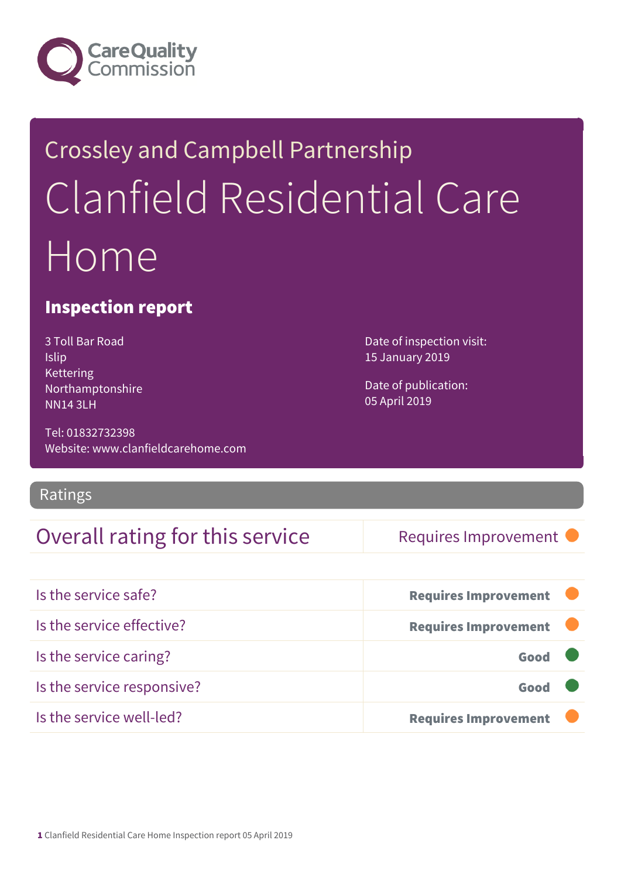

## Crossley and Campbell Partnership Clanfield Residential Care Home

#### Inspection report

3 Toll Bar Road Islip Kettering Northamptonshire NN14 3LH

Tel: 01832732398 Website: www.clanfieldcarehome.com

Ratings

#### Overall rating for this service Requires Improvement

Date of inspection visit: 15 January 2019

Date of publication: 05 April 2019

| Is the service safe?       | <b>Requires Improvement</b> |
|----------------------------|-----------------------------|
| Is the service effective?  | <b>Requires Improvement</b> |
| Is the service caring?     | Good                        |
| Is the service responsive? | Good                        |
| Is the service well-led?   | <b>Requires Improvement</b> |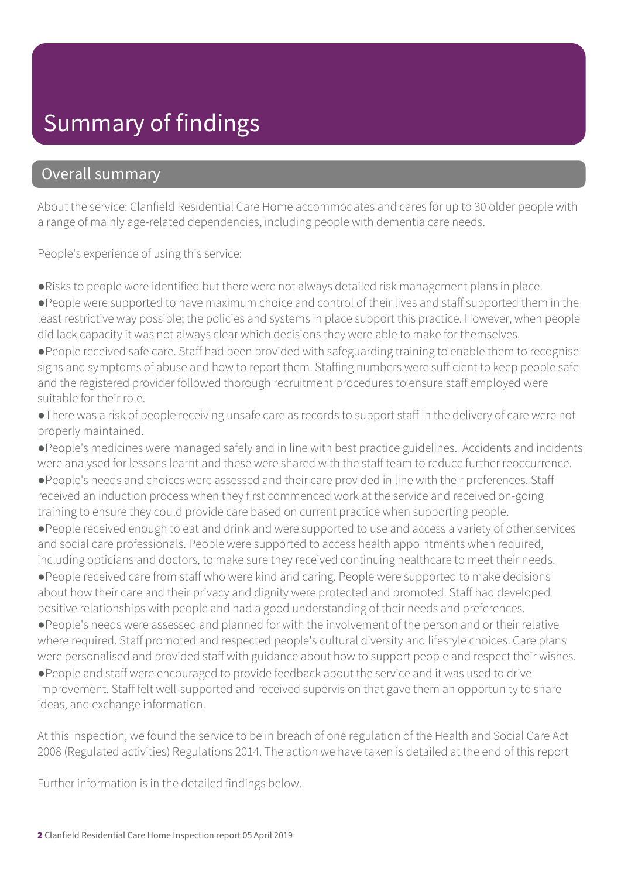## Summary of findings

#### Overall summary

About the service: Clanfield Residential Care Home accommodates and cares for up to 30 older people with a range of mainly age-related dependencies, including people with dementia care needs.

People's experience of using this service:

●Risks to people were identified but there were not always detailed risk management plans in place.

●People were supported to have maximum choice and control of their lives and staff supported them in the least restrictive way possible; the policies and systems in place support this practice. However, when people did lack capacity it was not always clear which decisions they were able to make for themselves.

●People received safe care. Staff had been provided with safeguarding training to enable them to recognise signs and symptoms of abuse and how to report them. Staffing numbers were sufficient to keep people safe and the registered provider followed thorough recruitment procedures to ensure staff employed were suitable for their role.

●There was a risk of people receiving unsafe care as records to support staff in the delivery of care were not properly maintained.

●People's medicines were managed safely and in line with best practice guidelines. Accidents and incidents were analysed for lessons learnt and these were shared with the staff team to reduce further reoccurrence.

●People's needs and choices were assessed and their care provided in line with their preferences. Staff received an induction process when they first commenced work at the service and received on-going training to ensure they could provide care based on current practice when supporting people.

●People received enough to eat and drink and were supported to use and access a variety of other services and social care professionals. People were supported to access health appointments when required, including opticians and doctors, to make sure they received continuing healthcare to meet their needs.

●People received care from staff who were kind and caring. People were supported to make decisions about how their care and their privacy and dignity were protected and promoted. Staff had developed positive relationships with people and had a good understanding of their needs and preferences.

●People's needs were assessed and planned for with the involvement of the person and or their relative where required. Staff promoted and respected people's cultural diversity and lifestyle choices. Care plans were personalised and provided staff with guidance about how to support people and respect their wishes.

●People and staff were encouraged to provide feedback about the service and it was used to drive improvement. Staff felt well-supported and received supervision that gave them an opportunity to share ideas, and exchange information.

At this inspection, we found the service to be in breach of one regulation of the Health and Social Care Act 2008 (Regulated activities) Regulations 2014. The action we have taken is detailed at the end of this report

Further information is in the detailed findings below.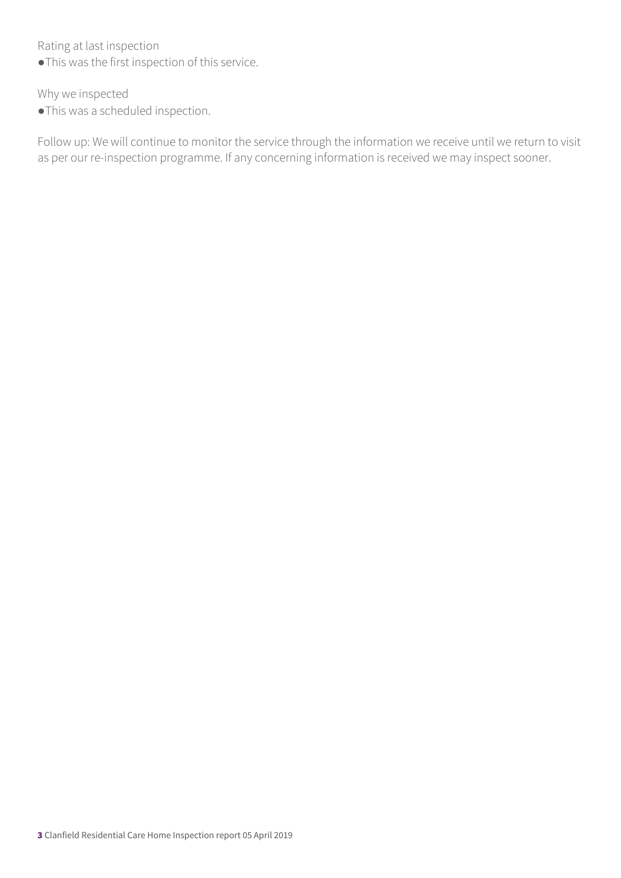Rating at last inspection

●This was the first inspection of this service.

Why we inspected

●This was a scheduled inspection.

Follow up: We will continue to monitor the service through the information we receive until we return to visit as per our re-inspection programme. If any concerning information is received we may inspect sooner.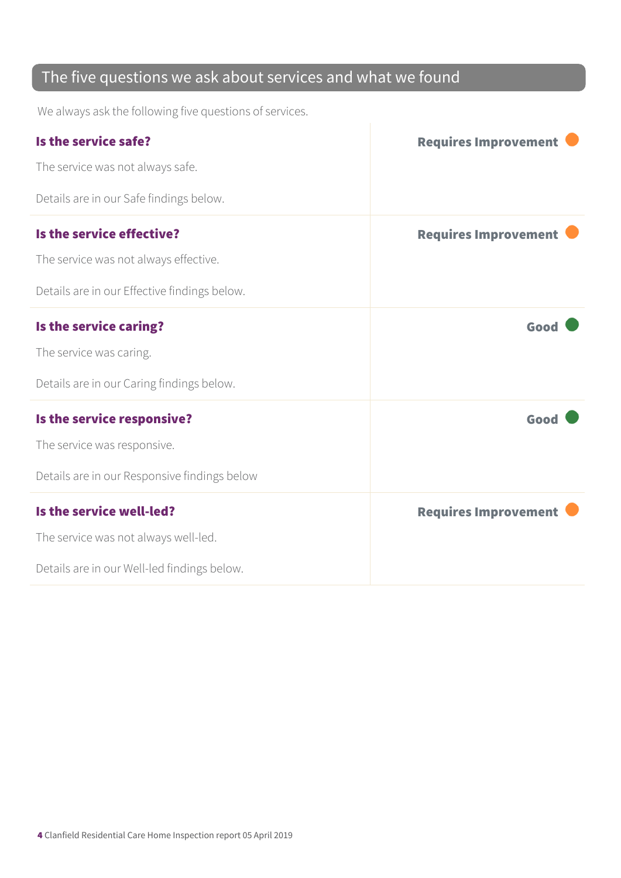#### The five questions we ask about services and what we found

We always ask the following five questions of services.

| Is the service safe?                         | <b>Requires Improvement</b> |
|----------------------------------------------|-----------------------------|
| The service was not always safe.             |                             |
| Details are in our Safe findings below.      |                             |
| Is the service effective?                    | <b>Requires Improvement</b> |
| The service was not always effective.        |                             |
| Details are in our Effective findings below. |                             |
| Is the service caring?                       | Good                        |
| The service was caring.                      |                             |
| Details are in our Caring findings below.    |                             |
| Is the service responsive?                   | Good                        |
| The service was responsive.                  |                             |
| Details are in our Responsive findings below |                             |
| Is the service well-led?                     | <b>Requires Improvement</b> |
| The service was not always well-led.         |                             |
| Details are in our Well-led findings below.  |                             |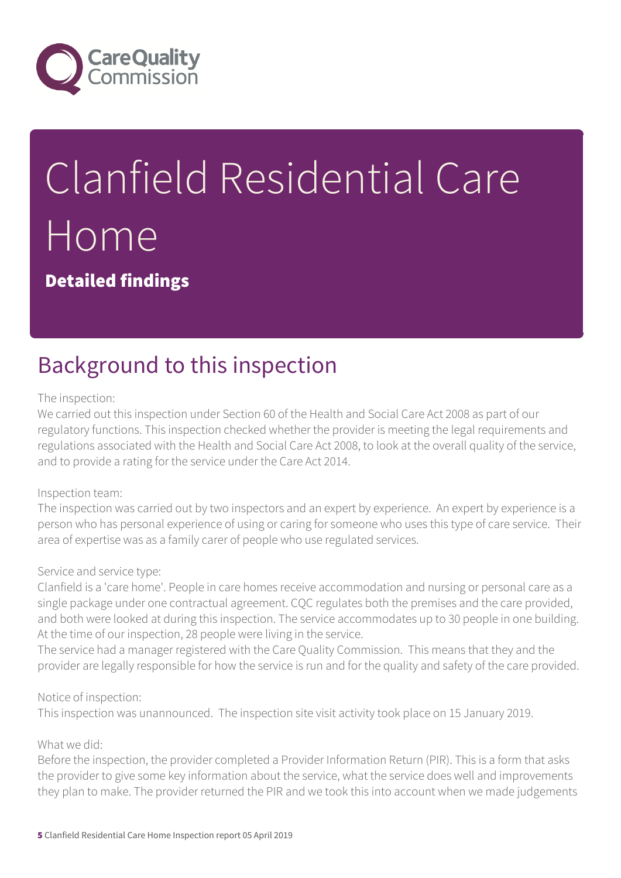

# Clanfield Residential Care Home

Detailed findings

## Background to this inspection

#### The inspection:

We carried out this inspection under Section 60 of the Health and Social Care Act 2008 as part of our regulatory functions. This inspection checked whether the provider is meeting the legal requirements and regulations associated with the Health and Social Care Act 2008, to look at the overall quality of the service, and to provide a rating for the service under the Care Act 2014.

#### Inspection team:

The inspection was carried out by two inspectors and an expert by experience. An expert by experience is a person who has personal experience of using or caring for someone who uses this type of care service. Their area of expertise was as a family carer of people who use regulated services.

#### Service and service type:

Clanfield is a 'care home'. People in care homes receive accommodation and nursing or personal care as a single package under one contractual agreement. CQC regulates both the premises and the care provided, and both were looked at during this inspection. The service accommodates up to 30 people in one building. At the time of our inspection, 28 people were living in the service.

The service had a manager registered with the Care Quality Commission. This means that they and the provider are legally responsible for how the service is run and for the quality and safety of the care provided.

#### Notice of inspection:

This inspection was unannounced. The inspection site visit activity took place on 15 January 2019.

#### What we did:

Before the inspection, the provider completed a Provider Information Return (PIR). This is a form that asks the provider to give some key information about the service, what the service does well and improvements they plan to make. The provider returned the PIR and we took this into account when we made judgements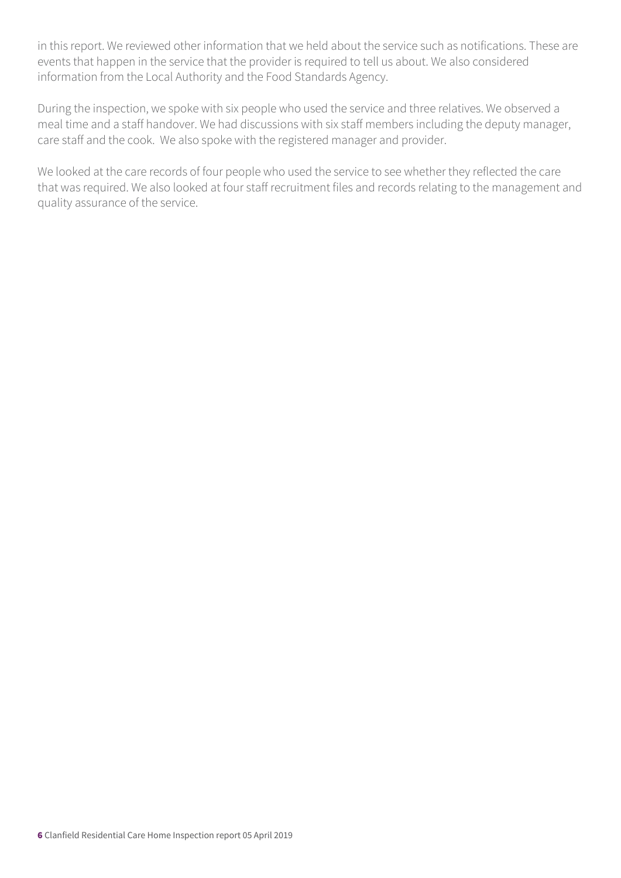in this report. We reviewed other information that we held about the service such as notifications. These are events that happen in the service that the provider is required to tell us about. We also considered information from the Local Authority and the Food Standards Agency.

During the inspection, we spoke with six people who used the service and three relatives. We observed a meal time and a staff handover. We had discussions with six staff members including the deputy manager, care staff and the cook. We also spoke with the registered manager and provider.

We looked at the care records of four people who used the service to see whether they reflected the care that was required. We also looked at four staff recruitment files and records relating to the management and quality assurance of the service.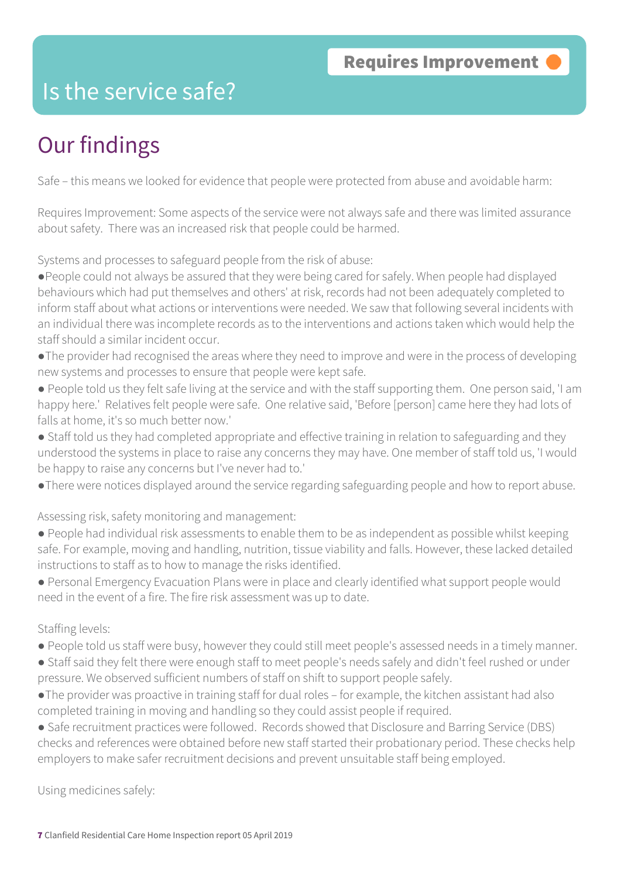### Is the service safe?

## Our findings

Safe – this means we looked for evidence that people were protected from abuse and avoidable harm:

Requires Improvement: Some aspects of the service were not always safe and there was limited assurance about safety. There was an increased risk that people could be harmed.

Systems and processes to safeguard people from the risk of abuse:

- ●People could not always be assured that they were being cared for safely. When people had displayed behaviours which had put themselves and others' at risk, records had not been adequately completed to inform staff about what actions or interventions were needed. We saw that following several incidents with an individual there was incomplete records as to the interventions and actions taken which would help the staff should a similar incident occur.
- ●The provider had recognised the areas where they need to improve and were in the process of developing new systems and processes to ensure that people were kept safe.
- People told us they felt safe living at the service and with the staff supporting them. One person said, 'I am happy here.' Relatives felt people were safe. One relative said, 'Before [person] came here they had lots of falls at home, it's so much better now.'
- Staff told us they had completed appropriate and effective training in relation to safeguarding and they understood the systems in place to raise any concerns they may have. One member of staff told us, 'I would be happy to raise any concerns but I've never had to.'
- ●There were notices displayed around the service regarding safeguarding people and how to report abuse.

Assessing risk, safety monitoring and management:

- People had individual risk assessments to enable them to be as independent as possible whilst keeping safe. For example, moving and handling, nutrition, tissue viability and falls. However, these lacked detailed instructions to staff as to how to manage the risks identified.
- Personal Emergency Evacuation Plans were in place and clearly identified what support people would need in the event of a fire. The fire risk assessment was up to date.

Staffing levels:

- People told us staff were busy, however they could still meet people's assessed needs in a timely manner.
- Staff said they felt there were enough staff to meet people's needs safely and didn't feel rushed or under pressure. We observed sufficient numbers of staff on shift to support people safely.
- ●The provider was proactive in training staff for dual roles for example, the kitchen assistant had also completed training in moving and handling so they could assist people if required.
- Safe recruitment practices were followed. Records showed that Disclosure and Barring Service (DBS) checks and references were obtained before new staff started their probationary period. These checks help employers to make safer recruitment decisions and prevent unsuitable staff being employed.

Using medicines safely: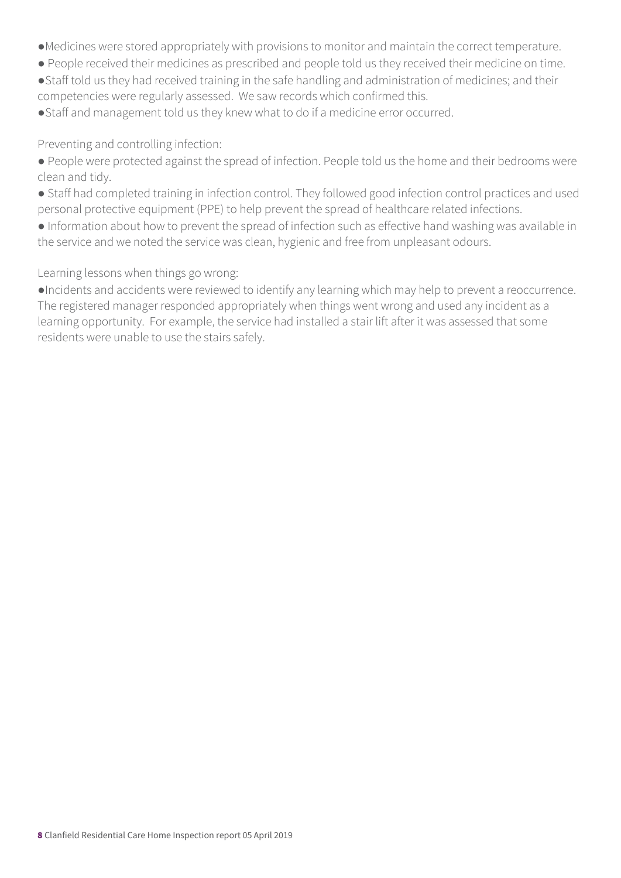- ●Medicines were stored appropriately with provisions to monitor and maintain the correct temperature.
- People received their medicines as prescribed and people told us they received their medicine on time.
- ●Staff told us they had received training in the safe handling and administration of medicines; and their competencies were regularly assessed. We saw records which confirmed this.
- ●Staff and management told us they knew what to do if a medicine error occurred.

Preventing and controlling infection:

- People were protected against the spread of infection. People told us the home and their bedrooms were clean and tidy.
- Staff had completed training in infection control. They followed good infection control practices and used personal protective equipment (PPE) to help prevent the spread of healthcare related infections.
- Information about how to prevent the spread of infection such as effective hand washing was available in the service and we noted the service was clean, hygienic and free from unpleasant odours.

#### Learning lessons when things go wrong:

●Incidents and accidents were reviewed to identify any learning which may help to prevent a reoccurrence. The registered manager responded appropriately when things went wrong and used any incident as a learning opportunity. For example, the service had installed a stair lift after it was assessed that some residents were unable to use the stairs safely.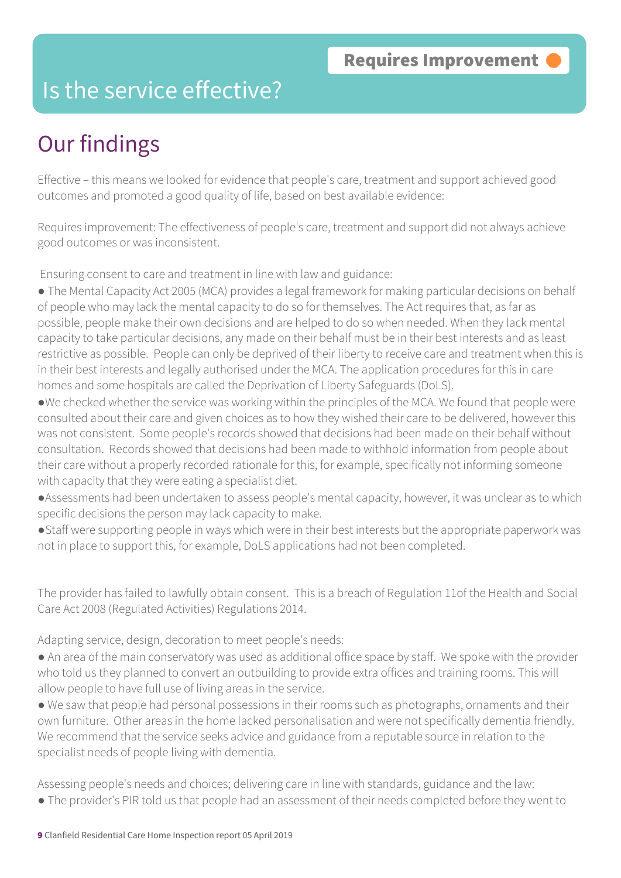#### Is the service effective?

## Our findings

Effective – this means we looked for evidence that people's care, treatment and support achieved good outcomes and promoted a good quality of life, based on best available evidence:

Requires improvement: The effectiveness of people's care, treatment and support did not always achieve good outcomes or was inconsistent.

Ensuring consent to care and treatment in line with law and guidance:

• The Mental Capacity Act 2005 (MCA) provides a legal framework for making particular decisions on behalf of people who may lack the mental capacity to do so for themselves. The Act requires that, as far as possible, people make their own decisions and are helped to do so when needed. When they lack mental capacity to take particular decisions, any made on their behalf must be in their best interests and as least restrictive as possible. People can only be deprived of their liberty to receive care and treatment when this is in their best interests and legally authorised under the MCA. The application procedures for this in care homes and some hospitals are called the Deprivation of Liberty Safeguards (DoLS).

●We checked whether the service was working within the principles of the MCA. We found that people were consulted about their care and given choices as to how they wished their care to be delivered, however this was not consistent. Some people's records showed that decisions had been made on their behalf without consultation. Records showed that decisions had been made to withhold information from people about their care without a properly recorded rationale for this, for example, specifically not informing someone with capacity that they were eating a specialist diet.

●Assessments had been undertaken to assess people's mental capacity, however, it was unclear as to which specific decisions the person may lack capacity to make.

●Staff were supporting people in ways which were in their best interests but the appropriate paperwork was not in place to support this, for example, DoLS applications had not been completed.

The provider has failed to lawfully obtain consent. This is a breach of Regulation 11of the Health and Social Care Act 2008 (Regulated Activities) Regulations 2014.

Adapting service, design, decoration to meet people's needs:

- An area of the main conservatory was used as additional office space by staff. We spoke with the provider who told us they planned to convert an outbuilding to provide extra offices and training rooms. This will allow people to have full use of living areas in the service.
- We saw that people had personal possessions in their rooms such as photographs, ornaments and their own furniture. Other areas in the home lacked personalisation and were not specifically dementia friendly. We recommend that the service seeks advice and guidance from a reputable source in relation to the specialist needs of people living with dementia.

Assessing people's needs and choices; delivering care in line with standards, guidance and the law:

● The provider's PIR told us that people had an assessment of their needs completed before they went to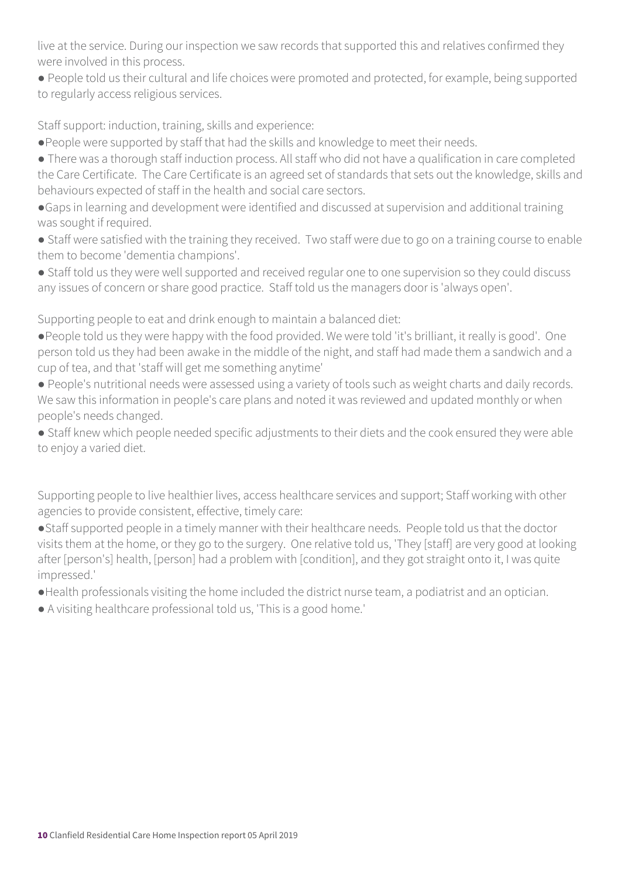live at the service. During our inspection we saw records that supported this and relatives confirmed they were involved in this process.

● People told us their cultural and life choices were promoted and protected, for example, being supported to regularly access religious services.

Staff support: induction, training, skills and experience:

●People were supported by staff that had the skills and knowledge to meet their needs.

● There was a thorough staff induction process. All staff who did not have a qualification in care completed the Care Certificate. The Care Certificate is an agreed set of standards that sets out the knowledge, skills and behaviours expected of staff in the health and social care sectors.

●Gaps in learning and development were identified and discussed at supervision and additional training was sought if required.

• Staff were satisfied with the training they received. Two staff were due to go on a training course to enable them to become 'dementia champions'.

● Staff told us they were well supported and received regular one to one supervision so they could discuss any issues of concern or share good practice. Staff told us the managers door is 'always open'.

Supporting people to eat and drink enough to maintain a balanced diet:

●People told us they were happy with the food provided. We were told 'it's brilliant, it really is good'. One person told us they had been awake in the middle of the night, and staff had made them a sandwich and a cup of tea, and that 'staff will get me something anytime'

● People's nutritional needs were assessed using a variety of tools such as weight charts and daily records. We saw this information in people's care plans and noted it was reviewed and updated monthly or when people's needs changed.

● Staff knew which people needed specific adjustments to their diets and the cook ensured they were able to enjoy a varied diet.

Supporting people to live healthier lives, access healthcare services and support; Staff working with other agencies to provide consistent, effective, timely care:

●Staff supported people in a timely manner with their healthcare needs. People told us that the doctor visits them at the home, or they go to the surgery. One relative told us, 'They [staff] are very good at looking after [person's] health, [person] had a problem with [condition], and they got straight onto it, I was quite impressed.'

●Health professionals visiting the home included the district nurse team, a podiatrist and an optician.

● A visiting healthcare professional told us, 'This is a good home.'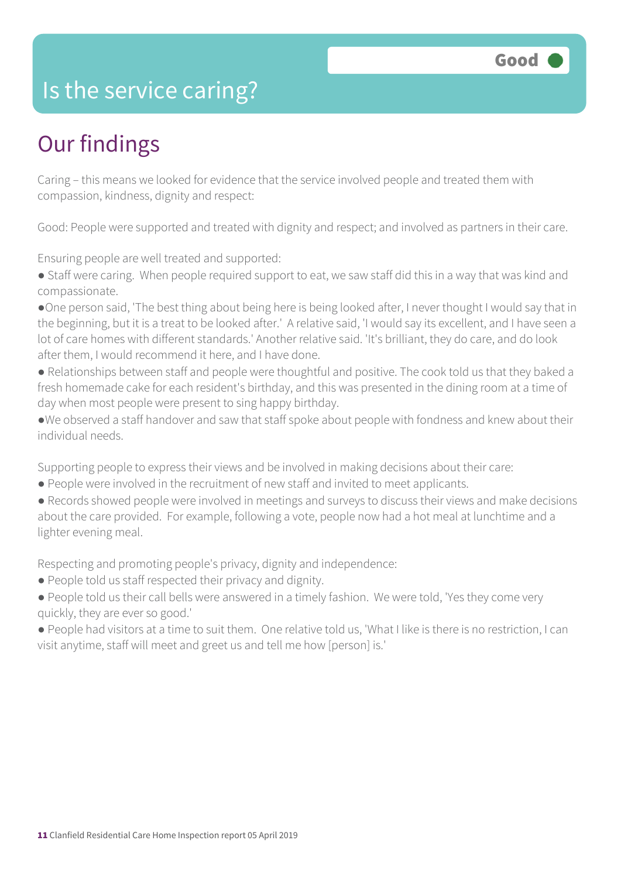#### Is the service caring?

## Our findings

Caring – this means we looked for evidence that the service involved people and treated them with compassion, kindness, dignity and respect:

Good: People were supported and treated with dignity and respect; and involved as partners in their care.

Ensuring people are well treated and supported:

- Staff were caring. When people required support to eat, we saw staff did this in a way that was kind and compassionate.
- ●One person said, 'The best thing about being here is being looked after, I never thought I would say that in the beginning, but it is a treat to be looked after.' A relative said, 'I would say its excellent, and I have seen a lot of care homes with different standards.' Another relative said. 'It's brilliant, they do care, and do look after them, I would recommend it here, and I have done.
- Relationships between staff and people were thoughtful and positive. The cook told us that they baked a fresh homemade cake for each resident's birthday, and this was presented in the dining room at a time of day when most people were present to sing happy birthday.
- ●We observed a staff handover and saw that staff spoke about people with fondness and knew about their individual needs.

Supporting people to express their views and be involved in making decisions about their care:

- People were involved in the recruitment of new staff and invited to meet applicants.
- Records showed people were involved in meetings and surveys to discuss their views and make decisions about the care provided. For example, following a vote, people now had a hot meal at lunchtime and a lighter evening meal.

Respecting and promoting people's privacy, dignity and independence:

- People told us staff respected their privacy and dignity.
- People told us their call bells were answered in a timely fashion. We were told, 'Yes they come very quickly, they are ever so good.'
- People had visitors at a time to suit them. One relative told us, 'What I like is there is no restriction, I can visit anytime, staff will meet and greet us and tell me how [person] is.'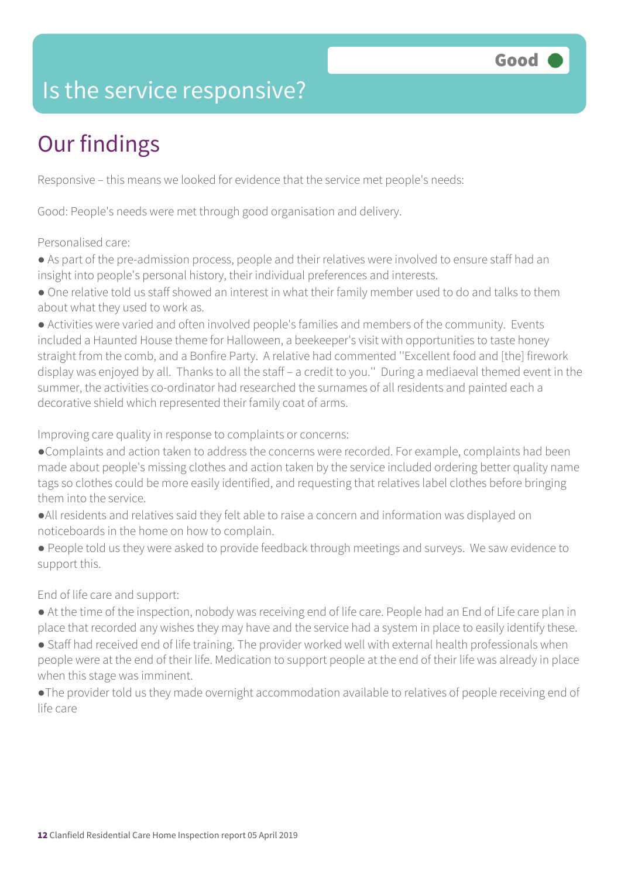## Is the service responsive?

## Our findings

Responsive – this means we looked for evidence that the service met people's needs:

Good: People's needs were met through good organisation and delivery.

Personalised care:

● As part of the pre-admission process, people and their relatives were involved to ensure staff had an insight into people's personal history, their individual preferences and interests.

● One relative told us staff showed an interest in what their family member used to do and talks to them about what they used to work as.

● Activities were varied and often involved people's families and members of the community. Events included a Haunted House theme for Halloween, a beekeeper's visit with opportunities to taste honey straight from the comb, and a Bonfire Party. A relative had commented ''Excellent food and [the] firework display was enjoyed by all. Thanks to all the staff – a credit to you.'' During a mediaeval themed event in the summer, the activities co-ordinator had researched the surnames of all residents and painted each a decorative shield which represented their family coat of arms.

Improving care quality in response to complaints or concerns:

- ●Complaints and action taken to address the concerns were recorded. For example, complaints had been made about people's missing clothes and action taken by the service included ordering better quality name tags so clothes could be more easily identified, and requesting that relatives label clothes before bringing them into the service.
- ●All residents and relatives said they felt able to raise a concern and information was displayed on noticeboards in the home on how to complain.
- People told us they were asked to provide feedback through meetings and surveys. We saw evidence to support this.

End of life care and support:

- At the time of the inspection, nobody was receiving end of life care. People had an End of Life care plan in place that recorded any wishes they may have and the service had a system in place to easily identify these.
- Staff had received end of life training. The provider worked well with external health professionals when people were at the end of their life. Medication to support people at the end of their life was already in place when this stage was imminent.
- ●The provider told us they made overnight accommodation available to relatives of people receiving end of life care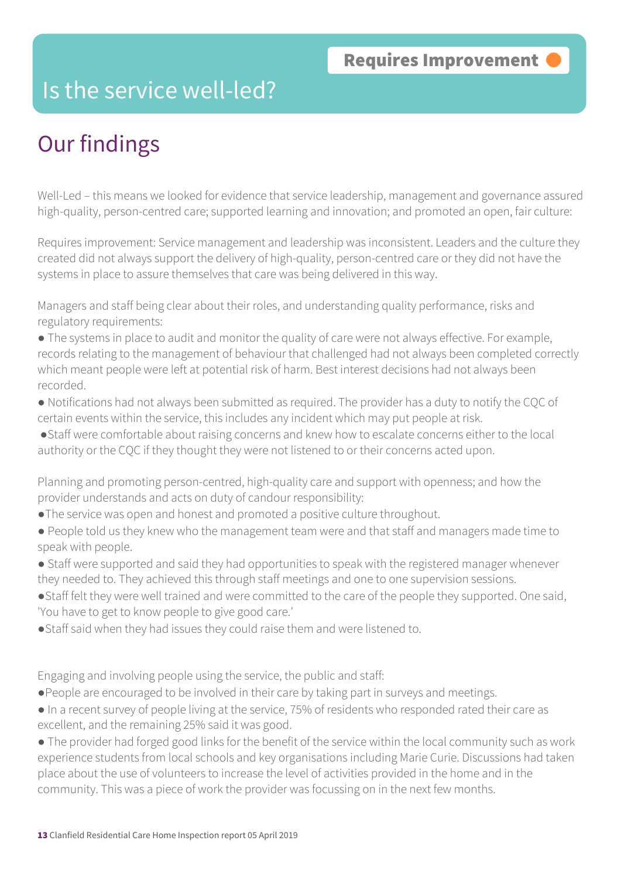#### Is the service well-led?

## Our findings

Well-Led – this means we looked for evidence that service leadership, management and governance assured high-quality, person-centred care; supported learning and innovation; and promoted an open, fair culture:

Requires improvement: Service management and leadership was inconsistent. Leaders and the culture they created did not always support the delivery of high-quality, person-centred care or they did not have the systems in place to assure themselves that care was being delivered in this way.

Managers and staff being clear about their roles, and understanding quality performance, risks and regulatory requirements:

- The systems in place to audit and monitor the quality of care were not always effective. For example, records relating to the management of behaviour that challenged had not always been completed correctly which meant people were left at potential risk of harm. Best interest decisions had not always been recorded.
- Notifications had not always been submitted as required. The provider has a duty to notify the CQC of certain events within the service, this includes any incident which may put people at risk.
- ●Staff were comfortable about raising concerns and knew how to escalate concerns either to the local authority or the CQC if they thought they were not listened to or their concerns acted upon.

Planning and promoting person-centred, high-quality care and support with openness; and how the provider understands and acts on duty of candour responsibility:

- ●The service was open and honest and promoted a positive culture throughout.
- People told us they knew who the management team were and that staff and managers made time to speak with people.
- Staff were supported and said they had opportunities to speak with the registered manager whenever they needed to. They achieved this through staff meetings and one to one supervision sessions.
- ●Staff felt they were well trained and were committed to the care of the people they supported. One said, 'You have to get to know people to give good care.'
- Staff said when they had issues they could raise them and were listened to.

Engaging and involving people using the service, the public and staff:

- ●People are encouraged to be involved in their care by taking part in surveys and meetings.
- In a recent survey of people living at the service, 75% of residents who responded rated their care as excellent, and the remaining 25% said it was good.

● The provider had forged good links for the benefit of the service within the local community such as work experience students from local schools and key organisations including Marie Curie. Discussions had taken place about the use of volunteers to increase the level of activities provided in the home and in the community. This was a piece of work the provider was focussing on in the next few months.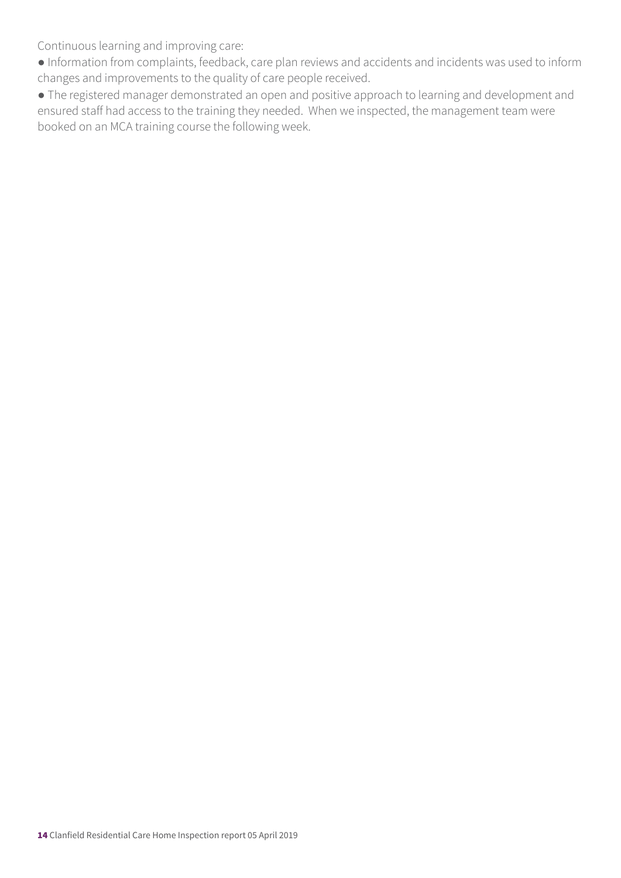Continuous learning and improving care:

- Information from complaints, feedback, care plan reviews and accidents and incidents was used to inform changes and improvements to the quality of care people received.
- The registered manager demonstrated an open and positive approach to learning and development and ensured staff had access to the training they needed. When we inspected, the management team were booked on an MCA training course the following week.